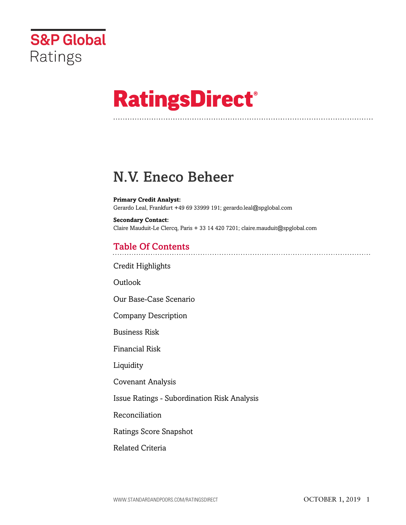

# **RatingsDirect®**

## N.V. Eneco Beheer

**Primary Credit Analyst:** Gerardo Leal, Frankfurt +49 69 33999 191; gerardo.leal@spglobal.com

**Secondary Contact:** Claire Mauduit-Le Clercq, Paris + 33 14 420 7201; claire.mauduit@spglobal.com

## Table Of Contents

[Credit Highlights](#page-1-0)

[Outlook](#page--1-0)

[Our Base-Case Scenario](#page-3-0)

[Company Description](#page-4-0)

[Business Risk](#page-5-0)

[Financial Risk](#page-7-0)

[Liquidity](#page-8-0)

[Covenant Analysis](#page-9-0)

[Issue Ratings - Subordination Risk Analysis](#page-9-1)

[Reconciliation](#page-9-2)

[Ratings Score Snapshot](#page-10-0)

[Related Criteria](#page-11-0)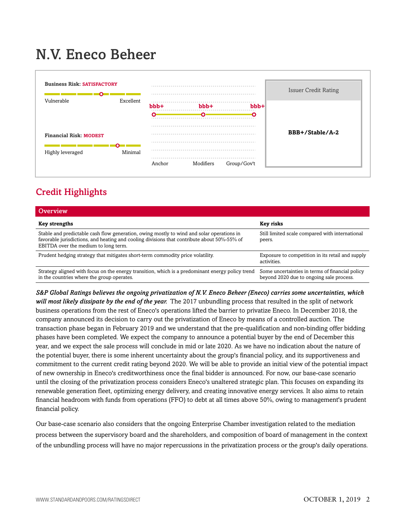## N.V. Eneco Beheer



## <span id="page-1-0"></span>Credit Highlights

| Overview                                                                                                                                                                                                                         |                                                                                             |
|----------------------------------------------------------------------------------------------------------------------------------------------------------------------------------------------------------------------------------|---------------------------------------------------------------------------------------------|
| <b>Key strengths</b>                                                                                                                                                                                                             | Key risks                                                                                   |
| Stable and predictable cash flow generation, owing mostly to wind and solar operations in<br>favorable jurisdictions, and heating and cooling divisions that contribute about 50%-55% of<br>EBITDA over the medium to long term. | Still limited scale compared with international<br>peers.                                   |
| Prudent hedging strategy that mitigates short-term commodity price volatility.                                                                                                                                                   | Exposure to competition in its retail and supply<br>activities.                             |
| Strategy aligned with focus on the energy transition, which is a predominant energy policy trend<br>in the countries where the group operates.                                                                                   | Some uncertainties in terms of financial policy<br>beyond 2020 due to ongoing sale process. |

*S&P Global Ratings believes the ongoing privatization of N.V. Eneco Beheer (Eneco) carries some uncertainties, which will most likely dissipate by the end of the year.* The 2017 unbundling process that resulted in the split of network business operations from the rest of Eneco's operations lifted the barrier to privatize Eneco. In December 2018, the company announced its decision to carry out the privatization of Eneco by means of a controlled auction. The transaction phase began in February 2019 and we understand that the pre-qualification and non-binding offer bidding phases have been completed. We expect the company to announce a potential buyer by the end of December this year, and we expect the sale process will conclude in mid or late 2020. As we have no indication about the nature of the potential buyer, there is some inherent uncertainty about the group's financial policy, and its supportiveness and commitment to the current credit rating beyond 2020. We will be able to provide an initial view of the potential impact of new ownership in Eneco's creditworthiness once the final bidder is announced. For now, our base-case scenario until the closing of the privatization process considers Eneco's unaltered strategic plan. This focuses on expanding its renewable generation fleet, optimizing energy delivery, and creating innovative energy services. It also aims to retain financial headroom with funds from operations (FFO) to debt at all times above 50%, owing to management's prudent financial policy.

Our base-case scenario also considers that the ongoing Enterprise Chamber investigation related to the mediation process between the supervisory board and the shareholders, and composition of board of management in the context of the unbundling process will have no major repercussions in the privatization process or the group's daily operations.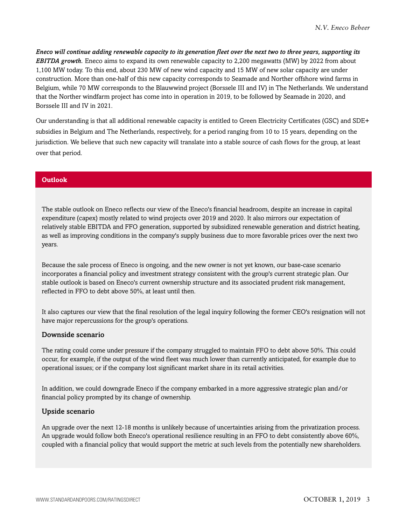*Eneco will continue adding renewable capacity to its generation fleet over the next two to three years, supporting its EBITDA growth.* Eneco aims to expand its own renewable capacity to 2,200 megawatts (MW) by 2022 from about 1,100 MW today. To this end, about 230 MW of new wind capacity and 15 MW of new solar capacity are under construction. More than one-half of this new capacity corresponds to Seamade and Norther offshore wind farms in Belgium, while 70 MW corresponds to the Blauwwind project (Borssele III and IV) in The Netherlands. We understand that the Norther windfarm project has come into in operation in 2019, to be followed by Seamade in 2020, and Borssele III and IV in 2021.

Our understanding is that all additional renewable capacity is entitled to Green Electricity Certificates (GSC) and SDE+ subsidies in Belgium and The Netherlands, respectively, for a period ranging from 10 to 15 years, depending on the jurisdiction. We believe that such new capacity will translate into a stable source of cash flows for the group, at least over that period.

#### **Outlook**

The stable outlook on Eneco reflects our view of the Eneco's financial headroom, despite an increase in capital expenditure (capex) mostly related to wind projects over 2019 and 2020. It also mirrors our expectation of relatively stable EBITDA and FFO generation, supported by subsidized renewable generation and district heating, as well as improving conditions in the company's supply business due to more favorable prices over the next two years.

Because the sale process of Eneco is ongoing, and the new owner is not yet known, our base-case scenario incorporates a financial policy and investment strategy consistent with the group's current strategic plan. Our stable outlook is based on Eneco's current ownership structure and its associated prudent risk management, reflected in FFO to debt above 50%, at least until then.

It also captures our view that the final resolution of the legal inquiry following the former CEO's resignation will not have major repercussions for the group's operations.

#### Downside scenario

The rating could come under pressure if the company struggled to maintain FFO to debt above 50%. This could occur, for example, if the output of the wind fleet was much lower than currently anticipated, for example due to operational issues; or if the company lost significant market share in its retail activities.

In addition, we could downgrade Eneco if the company embarked in a more aggressive strategic plan and/or financial policy prompted by its change of ownership.

#### Upside scenario

An upgrade over the next 12-18 months is unlikely because of uncertainties arising from the privatization process. An upgrade would follow both Eneco's operational resilience resulting in an FFO to debt consistently above 60%, coupled with a financial policy that would support the metric at such levels from the potentially new shareholders.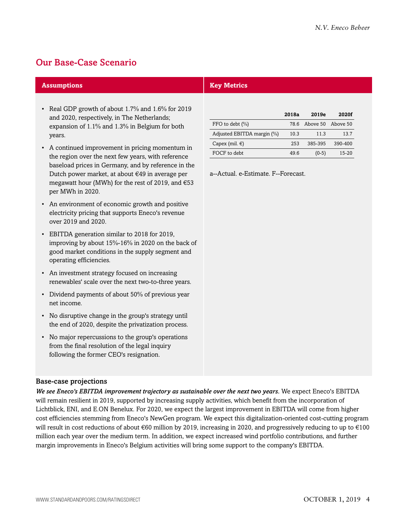## <span id="page-3-0"></span>Our Base-Case Scenario

#### **Assumptions Key Metrics**

- Real GDP growth of about 1.7% and 1.6% for 2019 and 2020, respectively, in The Netherlands; expansion of 1.1% and 1.3% in Belgium for both years.
- A continued improvement in pricing momentum in the region over the next few years, with reference baseload prices in Germany, and by reference in the Dutch power market, at about €49 in average per megawatt hour (MWh) for the rest of 2019, and €53 per MWh in 2020.
- An environment of economic growth and positive electricity pricing that supports Eneco's revenue over 2019 and 2020.
- EBITDA generation similar to 2018 for 2019, improving by about 15%-16% in 2020 on the back of good market conditions in the supply segment and operating efficiencies.
- An investment strategy focused on increasing renewables' scale over the next two-to-three years.
- Dividend payments of about 50% of previous year net income.
- No disruptive change in the group's strategy until the end of 2020, despite the privatization process.
- No major repercussions to the group's operations from the final resolution of the legal inquiry following the former CEO's resignation.

|                            | 2018a | 2019e                  | 2020f     |
|----------------------------|-------|------------------------|-----------|
| FFO to debt $(\% )$        |       | 78.6 Above 50 Above 50 |           |
| Adjusted EBITDA margin (%) | 10.3  | 11.3                   | 13.7      |
| Capex (mil. $\in$ )        | 2.53  | 385-395                | 390-400   |
| FOCF to debt               | 49 R  | $(0-5)$                | $15 - 20$ |

a--Actual. e-Estimate. F--Forecast.

#### Base-case projections

*We see Eneco's EBITDA improvement trajectory as sustainable over the next two years.* We expect Eneco's EBITDA will remain resilient in 2019, supported by increasing supply activities, which benefit from the incorporation of Lichtblick, ENI, and E.ON Benelux. For 2020, we expect the largest improvement in EBITDA will come from higher cost efficiencies stemming from Eneco's NewGen program. We expect this digitalization-oriented cost-cutting program will result in cost reductions of about €60 million by 2019, increasing in 2020, and progressively reducing to up to €100 million each year over the medium term. In addition, we expect increased wind portfolio contributions, and further margin improvements in Eneco's Belgium activities will bring some support to the company's EBITDA.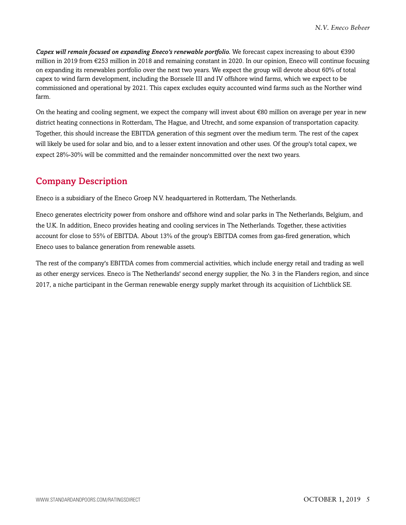*Capex will remain focused on expanding Eneco's renewable portfolio.* We forecast capex increasing to about €390 million in 2019 from  $\epsilon$ 253 million in 2018 and remaining constant in 2020. In our opinion, Eneco will continue focusing on expanding its renewables portfolio over the next two years. We expect the group will devote about 60% of total capex to wind farm development, including the Borssele III and IV offshore wind farms, which we expect to be commissioned and operational by 2021. This capex excludes equity accounted wind farms such as the Norther wind farm.

On the heating and cooling segment, we expect the company will invest about €80 million on average per year in new district heating connections in Rotterdam, The Hague, and Utrecht, and some expansion of transportation capacity. Together, this should increase the EBITDA generation of this segment over the medium term. The rest of the capex will likely be used for solar and bio, and to a lesser extent innovation and other uses. Of the group's total capex, we expect 28%-30% will be committed and the remainder noncommitted over the next two years.

## <span id="page-4-0"></span>Company Description

Eneco is a subsidiary of the Eneco Groep N.V. headquartered in Rotterdam, The Netherlands.

Eneco generates electricity power from onshore and offshore wind and solar parks in The Netherlands, Belgium, and the U.K. In addition, Eneco provides heating and cooling services in The Netherlands. Together, these activities account for close to 55% of EBITDA. About 13% of the group's EBITDA comes from gas-fired generation, which Eneco uses to balance generation from renewable assets.

The rest of the company's EBITDA comes from commercial activities, which include energy retail and trading as well as other energy services. Eneco is The Netherlands' second energy supplier, the No. 3 in the Flanders region, and since 2017, a niche participant in the German renewable energy supply market through its acquisition of Lichtblick SE.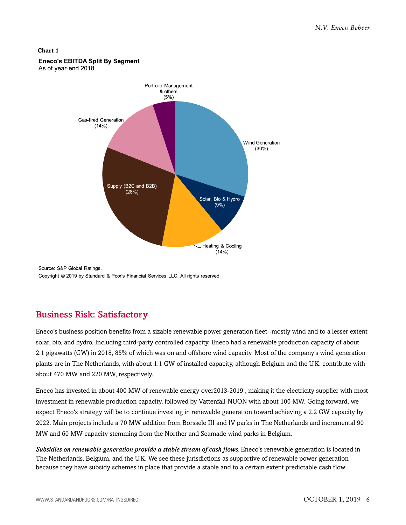#### **Chart 1**

#### **Eneco's EBITDA Split By Segment**

As of year-end 2018



Source: S&P Global Ratings. Copyright © 2019 by Standard & Poor's Financial Services LLC. All rights reserved.

## <span id="page-5-0"></span>Business Risk: Satisfactory

Eneco's business position benefits from a sizable renewable power generation fleet--mostly wind and to a lesser extent solar, bio, and hydro. Including third-party controlled capacity, Eneco had a renewable production capacity of about 2.1 gigawatts (GW) in 2018, 85% of which was on and offshore wind capacity. Most of the company's wind generation plants are in The Netherlands, with about 1.1 GW of installed capacity, although Belgium and the U.K. contribute with about 470 MW and 220 MW, respectively.

Eneco has invested in about 400 MW of renewable energy over2013-2019 , making it the electricity supplier with most investment in renewable production capacity, followed by Vattenfall-NUON with about 100 MW. Going forward, we expect Eneco's strategy will be to continue investing in renewable generation toward achieving a 2.2 GW capacity by 2022. Main projects include a 70 MW addition from Borssele III and IV parks in The Netherlands and incremental 90 MW and 60 MW capacity stemming from the Norther and Seamade wind parks in Belgium.

*Subsidies on renewable generation provide a stable stream of cash flows.* Eneco's renewable generation is located in The Netherlands, Belgium, and the U.K. We see these jurisdictions as supportive of renewable power generation because they have subsidy schemes in place that provide a stable and to a certain extent predictable cash flow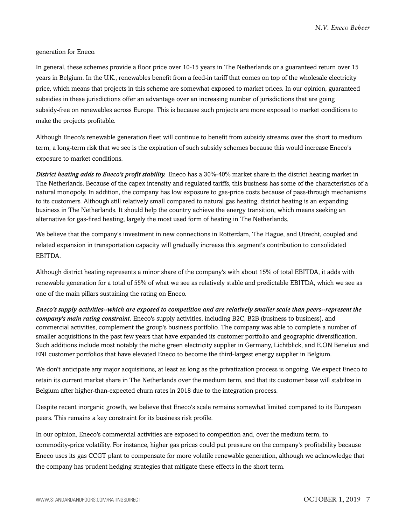generation for Eneco.

In general, these schemes provide a floor price over 10-15 years in The Netherlands or a guaranteed return over 15 years in Belgium. In the U.K., renewables benefit from a feed-in tariff that comes on top of the wholesale electricity price, which means that projects in this scheme are somewhat exposed to market prices. In our opinion, guaranteed subsidies in these jurisdictions offer an advantage over an increasing number of jurisdictions that are going subsidy-free on renewables across Europe. This is because such projects are more exposed to market conditions to make the projects profitable.

Although Eneco's renewable generation fleet will continue to benefit from subsidy streams over the short to medium term, a long-term risk that we see is the expiration of such subsidy schemes because this would increase Eneco's exposure to market conditions.

*District heating adds to Eneco's profit stability.* Eneco has a 30%-40% market share in the district heating market in The Netherlands. Because of the capex intensity and regulated tariffs, this business has some of the characteristics of a natural monopoly. In addition, the company has low exposure to gas-price costs because of pass-through mechanisms to its customers. Although still relatively small compared to natural gas heating, district heating is an expanding business in The Netherlands. It should help the country achieve the energy transition, which means seeking an alternative for gas-fired heating, largely the most used form of heating in The Netherlands.

We believe that the company's investment in new connections in Rotterdam, The Hague, and Utrecht, coupled and related expansion in transportation capacity will gradually increase this segment's contribution to consolidated EBITDA.

Although district heating represents a minor share of the company's with about 15% of total EBITDA, it adds with renewable generation for a total of 55% of what we see as relatively stable and predictable EBITDA, which we see as one of the main pillars sustaining the rating on Eneco.

*Eneco's supply activities--which are exposed to competition and are relatively smaller scale than peers--represent the company's main rating constraint.* Eneco's supply activities, including B2C, B2B (business to business), and commercial activities, complement the group's business portfolio. The company was able to complete a number of smaller acquisitions in the past few years that have expanded its customer portfolio and geographic diversification. Such additions include most notably the niche green electricity supplier in Germany, Lichtblick, and E.ON Benelux and ENI customer portfolios that have elevated Eneco to become the third-largest energy supplier in Belgium.

We don't anticipate any major acquisitions, at least as long as the privatization process is ongoing. We expect Eneco to retain its current market share in The Netherlands over the medium term, and that its customer base will stabilize in Belgium after higher-than-expected churn rates in 2018 due to the integration process.

Despite recent inorganic growth, we believe that Eneco's scale remains somewhat limited compared to its European peers. This remains a key constraint for its business risk profile.

In our opinion, Eneco's commercial activities are exposed to competition and, over the medium term, to commodity-price volatility. For instance, higher gas prices could put pressure on the company's profitability because Eneco uses its gas CCGT plant to compensate for more volatile renewable generation, although we acknowledge that the company has prudent hedging strategies that mitigate these effects in the short term.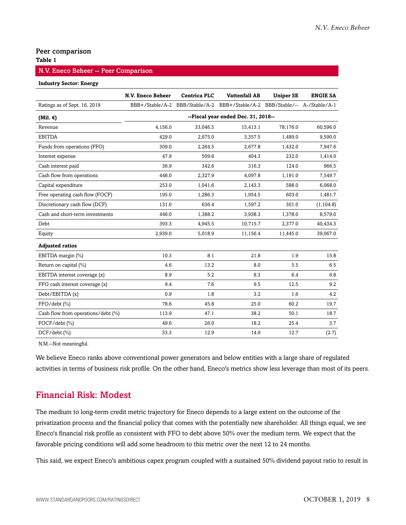### Peer comparison

#### **Table 1**

#### N.V. Eneco Beheer -- Peer Comparison

#### **Industry Sector: Energy**

|                                    | <b>N.V. Eneco Beheer</b>            | <b>Centrica PLC</b> | <b>Vattenfall AB</b>                                                       | <b>Uniper SE</b> | <b>ENGIE SA</b> |  |  |
|------------------------------------|-------------------------------------|---------------------|----------------------------------------------------------------------------|------------------|-----------------|--|--|
| Ratings as of Sept. 16, 2019       |                                     |                     | BBB+/Stable/A-2 BBB/Stable/A-2 BBB+/Stable/A-2 BBB/Stable/-- A-/Stable/A-1 |                  |                 |  |  |
| (Mil. $\epsilon$ )                 | --Fiscal year ended Dec. 31, 2018-- |                     |                                                                            |                  |                 |  |  |
| Revenue                            | 4,156.0                             | 33,046.5            | 15,413.1                                                                   | 78,176.0         | 60,596.0        |  |  |
| <b>EBITDA</b>                      | 429.0                               | 2,675.0             | 3,357.5                                                                    | 1,489.0          | 9,590.0         |  |  |
| Funds from operations (FFO)        | 309.0                               | 2,264.5             | 2,677.8                                                                    | 1,432.0          | 7,947.6         |  |  |
| Interest expense                   | 47.9                                | 509.6               | 404.3                                                                      | 232.0            | 1,414.0         |  |  |
| Cash interest paid                 | 36.9                                | 342.6               | 316.3                                                                      | 124.0            | 966.5           |  |  |
| Cash flow from operations          | 448.0                               | 2,327.9             | 4,097.8                                                                    | 1,191.0          | 7,549.7         |  |  |
| Capital expenditure                | 253.0                               | 1,041.6             | 2,143.3                                                                    | 588.0            | 6,068.0         |  |  |
| Free operating cash flow (FOCF)    | 195.0                               | 1,286.3             | 1,954.5                                                                    | 603.0            | 1,481.7         |  |  |
| Discretionary cash flow (DCF)      | 131.0                               | 636.4               | 1,597.2                                                                    | 301.0            | (1, 104.8)      |  |  |
| Cash and short-term investments    | 446.0                               | 1,388.2             | 3,938.3                                                                    | 1,378.0          | 8,579.0         |  |  |
| Debt                               | 393.3                               | 4,945.5             | 10,715.7                                                                   | 2,377.0          | 40,434.3        |  |  |
| Equity                             | 2,939.0                             | 5,018.9             | 11,156.4                                                                   | 11,445.0         | 39,067.0        |  |  |
| <b>Adjusted ratios</b>             |                                     |                     |                                                                            |                  |                 |  |  |
| EBITDA margin (%)                  | 10.3                                | 8.1                 | 21.8                                                                       | 1.9              | 15.8            |  |  |
| Return on capital (%)              | 4.6                                 | 13.2                | 8.0                                                                        | 5.5              | 6.5             |  |  |
| EBITDA interest coverage (x)       | 8.9                                 | 5.2                 | 8.3                                                                        | 6.4              | 6.8             |  |  |
| FFO cash interest coverage (x)     | 9.4                                 | 7.6                 | 9.5                                                                        | 12.5             | 9.2             |  |  |
| Debt/EBITDA (x)                    | 0.9                                 | 1.8                 | 3.2                                                                        | 1.6              | 4.2             |  |  |
| FFO/debt (%)                       | 78.6                                | 45.8                | 25.0                                                                       | 60.2             | 19.7            |  |  |
| Cash flow from operations/debt (%) | 113.9                               | 47.1                | 38.2                                                                       | 50.1             | 18.7            |  |  |
| FOCF/debt (%)                      | 49.6                                | 26.0                | 18.2                                                                       | 25.4             | 3.7             |  |  |
| $DCF/debt$ (%)                     | 33.3                                | 12.9                | 14.9                                                                       | 12.7             | (2.7)           |  |  |

N.M.--Not meaningful.

We believe Eneco ranks above conventional power generators and below entities with a large share of regulated activities in terms of business risk profile. On the other hand, Eneco's metrics show less leverage than most of its peers.

### <span id="page-7-0"></span>Financial Risk: Modest

The medium to long-term credit metric trajectory for Eneco depends to a large extent on the outcome of the privatization process and the financial policy that comes with the potentially new shareholder. All things equal, we see Eneco's financial risk profile as consistent with FFO to debt above 50% over the medium term. We expect that the favorable pricing conditions will add some headroom to this metric over the next 12 to 24 months.

This said, we expect Eneco's ambitious capex program coupled with a sustained 50% dividend payout ratio to result in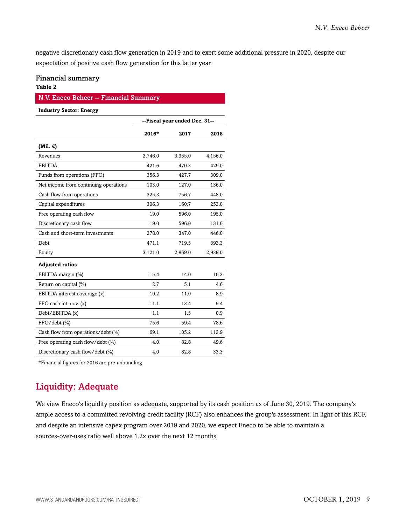negative discretionary cash flow generation in 2019 and to exert some additional pressure in 2020, despite our expectation of positive cash flow generation for this latter year.

#### Financial summary

#### **Table 2**

#### N.V. Eneco Beheer -- Financial Summary

**Industry Sector: Energy**

|                                       | --Fiscal year ended Dec. 31-- |         |         |  |  |
|---------------------------------------|-------------------------------|---------|---------|--|--|
|                                       | 2016*                         | 2017    | 2018    |  |  |
| (Mil. $\epsilon$ )                    |                               |         |         |  |  |
| Revenues                              | 2,746.0                       | 3,355.0 | 4,156.0 |  |  |
| <b>EBITDA</b>                         | 421.6                         | 470.3   | 429.0   |  |  |
| Funds from operations (FFO)           | 356.3                         | 427.7   | 309.0   |  |  |
| Net income from continuing operations | 103.0                         | 127.0   | 136.0   |  |  |
| Cash flow from operations             | 325.3                         | 756.7   | 448.0   |  |  |
| Capital expenditures                  | 306.3                         | 160.7   | 253.0   |  |  |
| Free operating cash flow              | 19.0                          | 596.0   | 195.0   |  |  |
| Discretionary cash flow               | 19.0                          | 596.0   | 131.0   |  |  |
| Cash and short-term investments       | 278.0                         | 347.0   | 446.0   |  |  |
| Debt                                  | 471.1                         | 719.5   | 393.3   |  |  |
| Equity                                | 3,121.0                       | 2,869.0 | 2,939.0 |  |  |
| <b>Adjusted ratios</b>                |                               |         |         |  |  |
| EBITDA margin (%)                     | 15.4                          | 14.0    | 10.3    |  |  |
| Return on capital (%)                 | 2.7                           | 5.1     | 4.6     |  |  |
| EBITDA interest coverage (x)          | 10.2                          | 11.0    | 8.9     |  |  |
| FFO cash int. cov. (x)                | 11.1                          | 13.4    | 9.4     |  |  |
| Debt/EBITDA (x)                       | 1.1                           | 1.5     | 0.9     |  |  |
| FFO/debt (%)                          | 75.6                          | 59.4    | 78.6    |  |  |
| Cash flow from operations/debt (%)    | 69.1                          | 105.2   | 113.9   |  |  |
| Free operating cash flow/debt (%)     | 4.0                           | 82.8    | 49.6    |  |  |
| Discretionary cash flow/debt (%)      | 4.0                           | 82.8    | 33.3    |  |  |

<span id="page-8-0"></span>\*Financial figures for 2016 are pre-unbundling.

## Liquidity: Adequate

We view Eneco's liquidity position as adequate, supported by its cash position as of June 30, 2019. The company's ample access to a committed revolving credit facility (RCF) also enhances the group's assessment. In light of this RCF, and despite an intensive capex program over 2019 and 2020, we expect Eneco to be able to maintain a sources-over-uses ratio well above 1.2x over the next 12 months.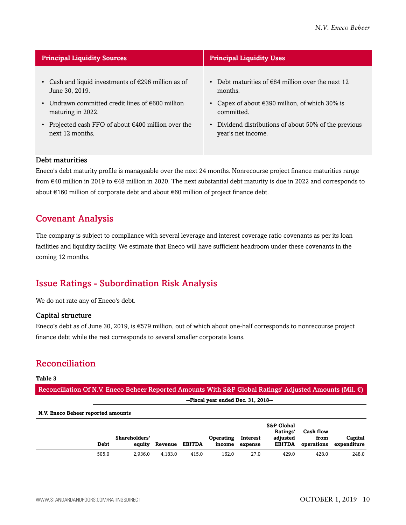| <b>Principal Liquidity Sources</b>                                       | <b>Principal Liquidity Uses</b>                                                        |  |  |  |  |
|--------------------------------------------------------------------------|----------------------------------------------------------------------------------------|--|--|--|--|
| • Cash and liquid investments of $\epsilon$ 296 million as of            | Debt maturities of $\epsilon$ 84 million over the next 12                              |  |  |  |  |
| June 30, 2019.                                                           | months.                                                                                |  |  |  |  |
| • Undrawn committed credit lines of $\epsilon$ 600 million               | Capex of about $\epsilon$ 390 million, of which 30% is                                 |  |  |  |  |
| maturing in 2022.                                                        | committed.                                                                             |  |  |  |  |
| • Projected cash FFO of about $€400$ million over the<br>next 12 months. | Dividend distributions of about 50% of the previous<br>$\bullet$<br>year's net income. |  |  |  |  |

#### Debt maturities

Eneco's debt maturity profile is manageable over the next 24 months. Nonrecourse project finance maturities range from €40 million in 2019 to €48 million in 2020. The next substantial debt maturity is due in 2022 and corresponds to about €160 million of corporate debt and about €60 million of project finance debt.

### <span id="page-9-0"></span>Covenant Analysis

The company is subject to compliance with several leverage and interest coverage ratio covenants as per its loan facilities and liquidity facility. We estimate that Eneco will have sufficient headroom under these covenants in the coming 12 months.

## <span id="page-9-1"></span>Issue Ratings - Subordination Risk Analysis

We do not rate any of Eneco's debt.

#### Capital structure

Eneco's debt as of June 30, 2019, is €579 million, out of which about one-half corresponds to nonrecourse project finance debt while the rest corresponds to several smaller corporate loans.

## <span id="page-9-2"></span>Reconciliation

#### **Table 3**

Reconciliation Of N.V. Eneco Beheer Reported Amounts With S&P Global Ratings' Adjusted Amounts (Mil. €) **--Fiscal year ended Dec. 31, 2018--**

#### **N.V. Eneco Beheer reported amounts**

| Debt  | Shareholders'<br>eauity | Revenue | <b>EBITDA</b> | <b>Operating</b><br>income | Interest<br>expense | <b>S&amp;P Global</b><br>Ratings'<br>adjusted<br>EBITDA | Cash flow<br>from<br>operations | Capital<br>expenditure |
|-------|-------------------------|---------|---------------|----------------------------|---------------------|---------------------------------------------------------|---------------------------------|------------------------|
| 505.0 | 2.936.0                 | 4.183.0 | 415.0         | 162.0                      | 27.0                | 429.0                                                   | 428.0                           | 248.0                  |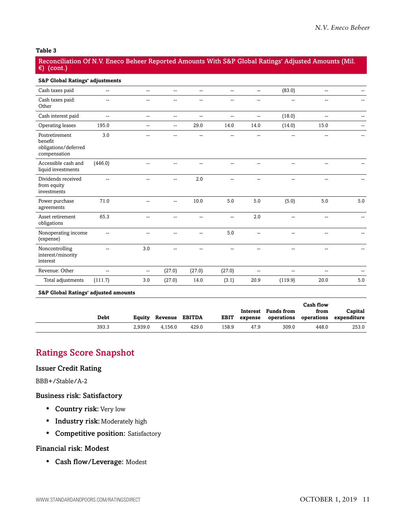#### **Table 3**

#### Reconciliation Of N.V. Eneco Beheer Reported Amounts With S&P Global Ratings' Adjusted Amounts (Mil. €) (cont.)

|  |  |  | <b>S&amp;P Global Ratings' adjustments</b> |
|--|--|--|--------------------------------------------|
|--|--|--|--------------------------------------------|

| siopai natings aujustments                                        |                |                |                          |                |                |                |                |                          |     |
|-------------------------------------------------------------------|----------------|----------------|--------------------------|----------------|----------------|----------------|----------------|--------------------------|-----|
| Cash taxes paid                                                   | --             | --             | $-$                      | $\overline{a}$ | $\overline{a}$ | $\overline{a}$ | (83.0)         | $\sim$                   |     |
| Cash taxes paid:<br>Other                                         | $-$            | $\overline{a}$ | --                       |                | ÷-             | $\overline{a}$ | $\overline{a}$ | $-$                      |     |
| Cash interest paid                                                | −−             | --             | $\overline{\phantom{a}}$ | --             | --             | --             | (18.0)         | $\overline{\phantom{a}}$ |     |
| Operating leases                                                  | 195.0          | --             | $\overline{\phantom{a}}$ | 29.0           | 14.0           | 14.0           | (14.0)         | 15.0                     |     |
| Postretirement<br>benefit<br>obligations/deferred<br>compensation | 3.0            |                |                          |                |                |                |                | --                       |     |
| Accessible cash and<br>liquid investments                         | (446.0)        |                |                          |                |                |                |                | $\overline{a}$           |     |
| Dividends received<br>from equity<br>investments                  |                |                |                          | 2.0            |                |                |                |                          |     |
| Power purchase<br>agreements                                      | 71.0           |                | −−                       | 10.0           | 5.0            | 5.0            | (5.0)          | 5.0                      | 5.0 |
| Asset retirement<br>obligations                                   | 65.3           |                |                          |                | --             | 2.0            |                | --                       |     |
| Nonoperating income<br>(expense)                                  | $\overline{a}$ | --             |                          | $-$            | 5.0            | $\overline{a}$ | $\sim$         | $\overline{a}$           |     |
| Noncontrolling<br>interest/minority<br>interest                   | --             | 3.0            |                          |                |                |                |                |                          |     |
| Revenue: Other                                                    | $\overline{a}$ | $\overline{a}$ | (27.0)                   | (27.0)         | (27.0)         | $\overline{a}$ | $\overline{a}$ | $\overline{a}$           |     |
| Total adjustments                                                 | (111.7)        | 3.0            | (27.0)                   | 14.0           | (3.1)          | 20.9           | (119.9)        | 20.0                     | 5.0 |
|                                                                   |                |                |                          |                |                |                |                |                          |     |

#### **S&P Global Ratings' adjusted amounts**

| Debt  | Eauity  | <b>Revenue EBITDA</b> |       | <b>EBIT</b> | expense | Interest Funds from<br>operations | Cash flow<br>from | Capital<br>operations expenditure |
|-------|---------|-----------------------|-------|-------------|---------|-----------------------------------|-------------------|-----------------------------------|
| 393.3 | 2.939.0 | 4.156.0               | 429.0 | 158.9       | 47.9    | 309.0                             | 448.0             | 253.0                             |

## <span id="page-10-0"></span>Ratings Score Snapshot

#### Issuer Credit Rating

BBB+/Stable/A-2

#### Business risk: Satisfactory

- Country risk: Very low
- Industry risk: Moderately high
- Competitive position: Satisfactory

#### Financial risk: Modest

• Cash flow/Leverage: Modest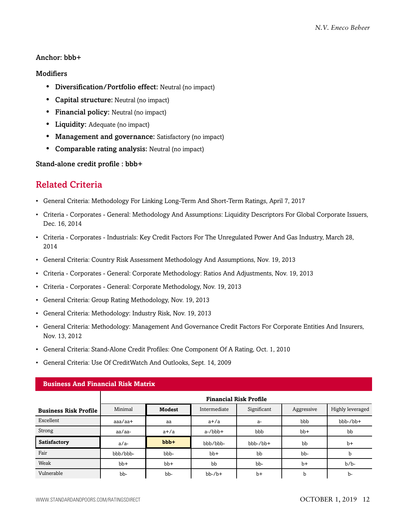#### Anchor: bbb+

#### **Modifiers**

- Diversification/Portfolio effect: Neutral (no impact)
- Capital structure: Neutral (no impact)
- Financial policy: Neutral (no impact)
- Liquidity: Adequate (no impact)
- Management and governance: Satisfactory (no impact)
- Comparable rating analysis: Neutral (no impact)

#### <span id="page-11-0"></span>Stand-alone credit profile : bbb+

## Related Criteria

- General Criteria: Methodology For Linking Long-Term And Short-Term Ratings, April 7, 2017
- Criteria Corporates General: Methodology And Assumptions: Liquidity Descriptors For Global Corporate Issuers, Dec. 16, 2014
- Criteria Corporates Industrials: Key Credit Factors For The Unregulated Power And Gas Industry, March 28, 2014
- General Criteria: Country Risk Assessment Methodology And Assumptions, Nov. 19, 2013
- Criteria Corporates General: Corporate Methodology: Ratios And Adjustments, Nov. 19, 2013
- Criteria Corporates General: Corporate Methodology, Nov. 19, 2013
- General Criteria: Group Rating Methodology, Nov. 19, 2013
- General Criteria: Methodology: Industry Risk, Nov. 19, 2013
- General Criteria: Methodology: Management And Governance Credit Factors For Corporate Entities And Insurers, Nov. 13, 2012
- General Criteria: Stand-Alone Credit Profiles: One Component Of A Rating, Oct. 1, 2010
- General Criteria: Use Of CreditWatch And Outlooks, Sept. 14, 2009

| <b>Business And Financial Risk Matrix</b> |                   |                               |              |             |            |                  |  |  |  |  |  |
|-------------------------------------------|-------------------|-------------------------------|--------------|-------------|------------|------------------|--|--|--|--|--|
|                                           |                   | <b>Financial Risk Profile</b> |              |             |            |                  |  |  |  |  |  |
| <b>Business Risk Profile</b>              | Minimal           | Modest                        | Intermediate | Significant | Aggressive | Highly leveraged |  |  |  |  |  |
| Excellent                                 | $a$ aa $/a$ a $+$ | aa                            | $a+/a$       | $a-$        | bbb        | $bbb-/bb+$       |  |  |  |  |  |
| Strong                                    | aa/aa-            | $a+/a$                        | $a$ -/ $bbb$ | bbb         | $bb+$      | bb               |  |  |  |  |  |
| Satisfactory                              | $a/a-$            | $bbb +$                       | bbb/bbb-     | $bbb-/bb+$  | bb         | $b+$             |  |  |  |  |  |
| Fair                                      | bbb/bbb-          | bbb-                          | $bb+$        | bb          | bb-        | b                |  |  |  |  |  |
| Weak                                      | $bb+$             | $bb+$                         | bb           | bb-         | $b+$       | $b/b$ -          |  |  |  |  |  |
| Vulnerable                                | bb-               | bb-                           | $bb-7b+$     | $b+$        | b          | b-               |  |  |  |  |  |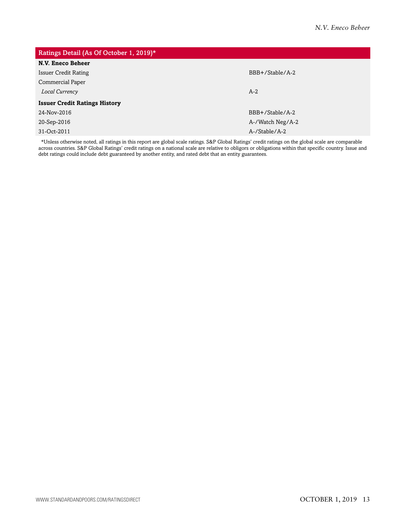| Ratings Detail (As Of October 1, 2019)* |  |  |  |  |  |
|-----------------------------------------|--|--|--|--|--|
|                                         |  |  |  |  |  |
| BBB+/Stable/A-2                         |  |  |  |  |  |
|                                         |  |  |  |  |  |
| $A-2$                                   |  |  |  |  |  |
|                                         |  |  |  |  |  |
| BBB+/Stable/A-2                         |  |  |  |  |  |
| A-/Watch Neg/A-2                        |  |  |  |  |  |
| A-/Stable/A-2                           |  |  |  |  |  |
|                                         |  |  |  |  |  |

\*Unless otherwise noted, all ratings in this report are global scale ratings. S&P Global Ratings' credit ratings on the global scale are comparable across countries. S&P Global Ratings' credit ratings on a national scale are relative to obligors or obligations within that specific country. Issue and debt ratings could include debt guaranteed by another entity, and rated debt that an entity guarantees.